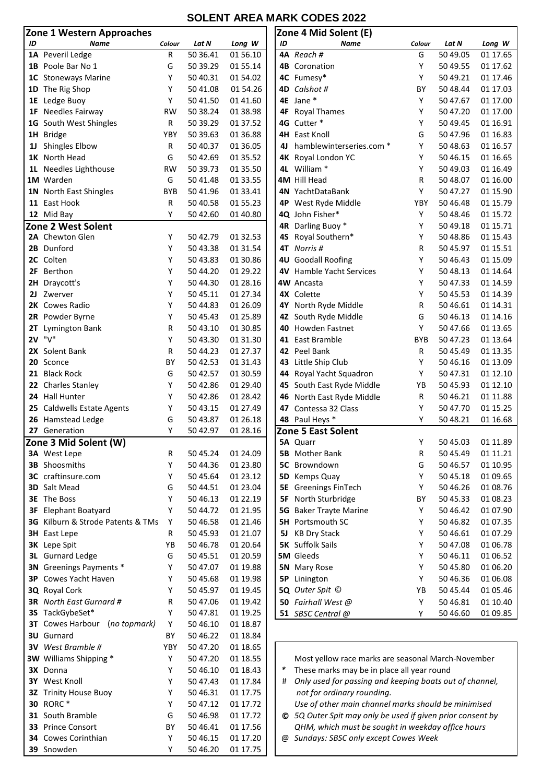## **SOLENT AREA MARK CODES 2022**

|                       | Zone 1 Western Approaches         |            |                      |                      |        | Zone 4 Mid Solent (E)                                      |            |                      |                      |
|-----------------------|-----------------------------------|------------|----------------------|----------------------|--------|------------------------------------------------------------|------------|----------------------|----------------------|
| ID                    | Name                              | Colour     | Lat N                | Long W               | ID     | <b>Name</b>                                                | Colour     | Lat N                | Long W               |
|                       | 1A Peveril Ledge                  | R          | 50 36.41             | 01 56.10             |        | 4A Reach#                                                  | G          | 50 49.05             | 01 17.65             |
|                       | 1B Poole Bar No 1                 | G          | 50 39.29             | 01 55.14             |        | 4B Coronation                                              | Y          | 50 49.55             | 01 17.62             |
| 1C                    | <b>Stoneways Marine</b>           | Y          | 50 40.31             | 01 54.02             |        | 4C Fumesy*                                                 | Y          | 50 49.21             | 01 17.46             |
|                       | 1D The Rig Shop                   | Y          | 50 41.08             | 01 54.26             |        | 4D Calshot #                                               | BY         | 50 48.44             | 01 17.03             |
| 1E                    | Ledge Buoy                        | Υ          | 50 41.50             | 01 41.60             |        | 4E Jane *                                                  | Y          | 50 47.67             | 01 17.00             |
|                       | 1F Needles Fairway                | <b>RW</b>  | 50 38.24             | 01 38.98             |        | <b>4F</b> Royal Thames                                     | Υ          | 50 47.20             | 01 17.00             |
|                       | 1G South West Shingles            | R          | 50 39.29             | 01 37.52             |        | 4G Cutter *                                                | Υ          | 50 49.45             | 01 16.91             |
|                       | 1H Bridge                         | <b>YBY</b> | 50 39.63             | 01 36.88             |        | <b>4H</b> East Knoll                                       | G          | 50 47.96             | 01 16.83             |
| IJ                    | Shingles Elbow                    | R          | 50 40.37             | 01 36.05             |        | 4J hamblewinterseries.com *                                | Υ          | 50 48.63             | 01 16.57             |
|                       | 1K North Head                     | G          | 50 42.69             | 01 35.52             |        | 4K Royal London YC                                         | Υ          | 50 46.15             | 01 16.65             |
| 1L                    | Needles Lighthouse                | <b>RW</b>  | 50 39.73             | 01 35.50             |        | 4L William *                                               | Y          | 50 49.03             | 01 16.49             |
|                       | 1M Warden                         | G          | 50 41.48             | 01 33.55             |        | 4M Hill Head                                               | R          | 50 48.07             | 01 16.00             |
|                       | 1N North East Shingles            | <b>BYB</b> | 50 41.96             | 01 33.41             |        | 4N YachtDataBank                                           | Y          | 50 47.27             | 01 15.90             |
|                       | 11 East Hook                      | R          | 50 40.58             | 01 55.23             |        | 4P West Ryde Middle                                        | YBY        | 50 46.48             | 01 15.79             |
|                       | 12 Mid Bay                        | Y          | 50 42.60             | 01 40.80             |        | 4Q John Fisher*                                            | Y          | 50 48.46             | 01 15.72             |
|                       | Zone 2 West Solent                |            |                      |                      |        | 4R Darling Buoy *                                          | Υ          | 50 49.18             | 01 15.71             |
|                       | 2A Chewton Glen                   | Y          | 50 42.79             | 01 32.53             |        | 4S Royal Southern*                                         | Υ          | 50 48.86             | 01 15.43             |
|                       | 2B Dunford                        | Y          | 50 43.38             | 01 31.54             |        | 4T Norris#                                                 | R          | 50 45.97             | 01 15.51             |
|                       | 2C Colten<br>2F Berthon           | Y          | 50 43.83             | 01 30.86             |        | 4U Goodall Roofing                                         | Y          | 50 46.43             | 01 15.09<br>01 14.64 |
|                       |                                   | Y          | 50 44.20             | 01 29.22             |        | 4V Hamble Yacht Services                                   | Y          | 50 48.13             |                      |
|                       | 2H Draycott's<br>2J Zwerver       | Y          | 50 44.30             | 01 28.16             |        | 4W Ancasta<br>4X Colette                                   | Υ          | 50 47.33             | 01 14.59             |
|                       | 2K Cowes Radio                    | Y          | 50 45.11             | 01 27.34             |        |                                                            | Y          | 50 45.53             | 01 14.39             |
|                       |                                   | Y<br>Υ     | 50 44.83             | 01 26.09             |        | 4Y North Ryde Middle                                       | R<br>G     | 50 46.61             | 01 14.31             |
|                       | 2R Powder Byrne                   | R          | 50 45.43<br>50 43.10 | 01 25.89<br>01 30.85 |        | 4Z South Ryde Middle<br>40 Howden Fastnet                  | Υ          | 50 46.13<br>50 47.66 | 01 14.16<br>01 13.65 |
|                       | 2T Lymington Bank<br>2V "V"       | Y          | 50 43.30             | 01 31.30             |        | 41 East Bramble                                            | <b>BYB</b> | 50 47.23             | 01 13.64             |
|                       | <b>2X</b> Solent Bank             | R          | 50 44.23             | 01 27.37             |        | 42 Peel Bank                                               | R          | 50 45.49             | 01 13.35             |
|                       | 20 Sconce                         | BY         | 50 42.53             | 01 31.43             |        | 43 Little Ship Club                                        | Υ          | 50 46.16             | 01 13.09             |
|                       | 21 Black Rock                     | G          | 50 42.57             | 01 30.59             |        | 44 Royal Yacht Squadron                                    | Y          | 50 47.31             | 01 12.10             |
|                       | 22 Charles Stanley                | Υ          | 50 42.86             | 01 29.40             |        | 45 South East Ryde Middle                                  | ΥB         | 50 45.93             | 01 12.10             |
|                       | 24 Hall Hunter                    | Υ          | 50 42.86             | 01 28.42             |        | 46 North East Ryde Middle                                  | R          | 50 46.21             | 01 11.88             |
|                       | 25 Caldwells Estate Agents        | Y          | 50 43.15             | 01 27.49             |        | 47 Contessa 32 Class                                       | Υ          | 50 47.70             | 01 15.25             |
|                       | 26 Hamstead Ledge                 | G          | 50 43.87             | 01 26.18             |        | 48 Paul Heys *                                             | Y          | 50 48.21             | 01 16.68             |
|                       | 27 Generation                     | Υ          | 50 42.97             | 01 28.16             |        | <b>Zone 5 East Solent</b>                                  |            |                      |                      |
| Zone 3 Mid Solent (W) |                                   |            |                      |                      |        | 5A Quarr                                                   | Υ          | 50 45.03             | 01 11.89             |
|                       | <b>3A</b> West Lepe               | R          | 50 45.24             | 01 24.09             |        | <b>5B</b> Mother Bank                                      | R          | 50 45.49             | 01 11.21             |
|                       | <b>3B</b> Shoosmiths              | Υ          | 50 44.36             | 01 23.80             |        | 5C Browndown                                               | G          | 50 46.57             | 01 10.95             |
|                       | 3C craftinsure.com                | Y          | 50 45.64             | 01 23.12             |        | 5D Kemps Quay                                              | Υ          | 50 45.18             | 01 09.65             |
|                       | 3D Salt Mead                      | G          | 50 44.51             | 01 23.04             |        | <b>5E</b> Greenings FinTech                                | Y          | 50 46.26             | 01 08.76             |
|                       | <b>3E</b> The Boss                | Υ          | 50 46.13             | 01 22.19             |        | <b>5F</b> North Sturbridge                                 | ΒY         | 50 45.33             | 01 08.23             |
| 3F                    | <b>Elephant Boatyard</b>          | Y          | 50 44.72             | 01 21.95             |        | <b>5G</b> Baker Trayte Marine                              | Υ          | 50 46.42             | 01 07.90             |
|                       | 3G Kilburn & Strode Patents & TMs | Υ          | 50 46.58             | 01 21.46             |        | <b>5H</b> Portsmouth SC                                    | Υ          | 50 46.82             | 01 07.35             |
|                       | <b>3H</b> East Lepe               | R          | 50 45.93             | 01 21.07             |        | 5J KB Dry Stack                                            | Υ          | 50 46.61             | 01 07.29             |
|                       | 3K Lepe Spit                      | ΥB         | 50 46.78             | 01 20.64             |        | <b>5K</b> Suffolk Sails                                    | Υ          | 50 47.08             | 01 06.78             |
|                       | 3L Gurnard Ledge                  | G          | 50 45.51             | 01 20.59             |        | <b>5M</b> Gleeds                                           | Υ          | 50 46.11             | 01 06.52             |
|                       | 3N Greenings Payments *           | Y          | 50 47.07             | 01 19.88             |        | <b>5N</b> Mary Rose                                        | Υ          | 50 45.80             | 01 06.20             |
|                       | <b>3P</b> Cowes Yacht Haven       | Y          | 50 45.68             | 01 19.98             |        | 5P Linington                                               | Y          | 50 46.36             | 01 06.08             |
|                       | 3Q Royal Cork                     | Y          | 50 45.97             | 01 19.45             |        | 5Q Outer Spit ©                                            | ΥB         | 50 45.44             | 01 05.46             |
|                       | 3R North East Gurnard #           | R          | 50 47.06             | 01 19.42             |        | 50 Fairhall West @                                         | Y          | 50 46.81             | 01 10.40             |
|                       | 3S TackGybeSet*                   | Y          | 50 47.81             | 01 19.25             |        | 51 SBSC Central @                                          | Y          | 50 46.60             | 01 09.85             |
|                       | 3T Cowes Harbour (no topmark)     | Υ          | 50 46.10             | 01 18.87             |        |                                                            |            |                      |                      |
|                       | <b>3U</b> Gurnard                 | BY         | 50 46.22             | 01 18.84             |        |                                                            |            |                      |                      |
|                       | <b>3V</b> West Bramble #          | <b>YBY</b> | 50 47.20             | 01 18.65             |        |                                                            |            |                      |                      |
|                       | 3W Williams Shipping *            | Y          | 50 47.20             | 01 18.55             |        | Most yellow race marks are seasonal March-November         |            |                      |                      |
|                       | 3X Donna                          | Y          | 50 46.10             | 01 18.43             | $\ast$ | These marks may be in place all year round                 |            |                      |                      |
|                       | 3Y West Knoll                     | Y          | 50 47.43             | 01 17.84             | #      | Only used for passing and keeping boats out of channel,    |            |                      |                      |
|                       | 3Z Trinity House Buoy             | Y          | 50 46.31             | 01 17.75             |        | not for ordinary rounding.                                 |            |                      |                      |
|                       | 30 RORC *                         | Y          | 50 47.12             | 01 17.72             |        | Use of other main channel marks should be minimised        |            |                      |                      |
| 31                    | South Bramble                     | G          | 50 46.98             | 01 17.72             |        | © 5Q Outer Spit may only be used if given prior consent by |            |                      |                      |
|                       | 33 Prince Consort                 | BY         | 50 46.41             | 01 17.56             |        | QHM, which must be sought in weekday office hours          |            |                      |                      |
| 34                    | Cowes Corinthian                  | Υ          | 50 46.15             | 01 17.20             | ω      | Sundays: SBSC only except Cowes Week                       |            |                      |                      |
|                       | 39 Snowden                        | Υ          | 50 46.20             | 01 17.75             |        |                                                            |            |                      |                      |